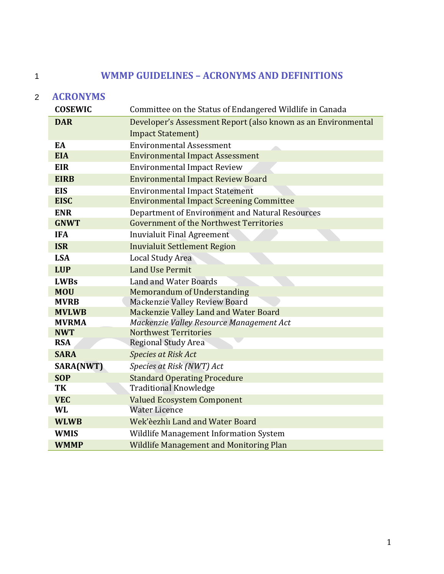# 1 **WMMP GUIDELINES – ACRONYMS AND DEFINITIONS**

# 2 **ACRONYMS**

| <b>COSEWIC</b>           | Committee on the Status of Endangered Wildlife in Canada      |  |  |
|--------------------------|---------------------------------------------------------------|--|--|
| <b>DAR</b>               | Developer's Assessment Report (also known as an Environmental |  |  |
|                          | <b>Impact Statement</b> )                                     |  |  |
| EA                       | <b>Environmental Assessment</b>                               |  |  |
| <b>EIA</b>               | <b>Environmental Impact Assessment</b>                        |  |  |
| <b>EIR</b>               | <b>Environmental Impact Review</b>                            |  |  |
| <b>EIRB</b>              | <b>Environmental Impact Review Board</b>                      |  |  |
| <b>EIS</b>               | <b>Environmental Impact Statement</b>                         |  |  |
| <b>EISC</b>              | <b>Environmental Impact Screening Committee</b>               |  |  |
| <b>ENR</b>               | Department of Environment and Natural Resources               |  |  |
| <b>GNWT</b>              | <b>Government of the Northwest Territories</b>                |  |  |
| <b>IFA</b>               | <b>Inuvialuit Final Agreement</b>                             |  |  |
| <b>ISR</b>               | <b>Inuvialuit Settlement Region</b>                           |  |  |
| <b>LSA</b>               | Local Study Area                                              |  |  |
| <b>LUP</b>               | <b>Land Use Permit</b>                                        |  |  |
| <b>LWBs</b>              | <b>Land and Water Boards</b>                                  |  |  |
| <b>MOU</b>               | <b>Memorandum of Understanding</b>                            |  |  |
| <b>MVRB</b>              | Mackenzie Valley Review Board                                 |  |  |
| <b>MVLWB</b>             | Mackenzie Valley Land and Water Board                         |  |  |
| <b>MVRMA</b>             | Mackenzie Valley Resource Management Act                      |  |  |
| <b>NWT</b><br><b>RSA</b> | <b>Northwest Territories</b><br><b>Regional Study Area</b>    |  |  |
| <b>SARA</b>              | <b>Species at Risk Act</b>                                    |  |  |
| SARA(NWT)                | Species at Risk (NWT) Act                                     |  |  |
| <b>SOP</b>               | <b>Standard Operating Procedure</b>                           |  |  |
| TK                       | <b>Traditional Knowledge</b>                                  |  |  |
| <b>VEC</b>               | <b>Valued Ecosystem Component</b>                             |  |  |
| <b>WL</b>                | <b>Water Licence</b>                                          |  |  |
| <b>WLWB</b>              | Wek'èezhìi Land and Water Board                               |  |  |
| <b>WMIS</b>              | Wildlife Management Information System                        |  |  |
| <b>WMMP</b>              | <b>Wildlife Management and Monitoring Plan</b>                |  |  |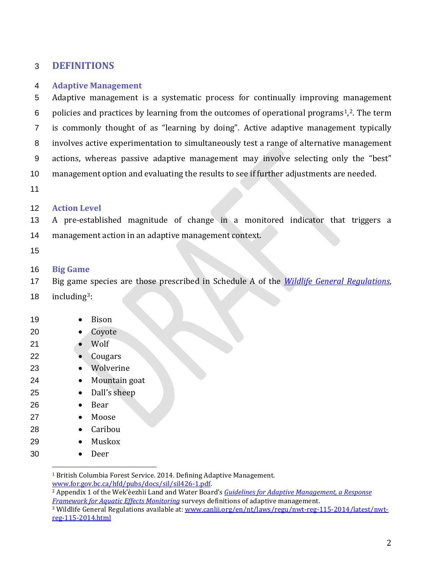# **DEFINITIONS**

### **Adaptive Management**

 Adaptive management is a systematic process for continually improving management 6 policies and practices by learning from the outcomes of operational programs<sup>[1](#page-1-0)</sup>,<sup>[2](#page-1-1)</sup>. The term is commonly thought of as "learning by doing". Active adaptive management typically involves active experimentation to simultaneously test a range of alternative management actions, whereas passive adaptive management may involve selecting only the "best" management option and evaluating the results to see if further adjustments are needed.

## **Action Level**

 A pre-established magnitude of change in a monitored indicator that triggers a management action in an adaptive management context.

### **Big Game**

Big game species are those prescribed in Schedule A of the *[Wildlife General Regulations](https://www.canlii.org/en/nt/laws/regu/nwt-reg-115-2014/latest/nwt-reg-115-2014.html)*,

18  $\mu$  including<sup>[3](#page-1-2)</sup>:

 $\overline{a}$ 

| 19 | Bison         |
|----|---------------|
| 20 | Coyote        |
| 21 | Wolf          |
| 22 | Cougars       |
| 23 | Wolverine     |
| 24 | Mountain goat |
| 25 | Dall's sheep  |
| 26 | Bear          |
| 27 | Moose         |
| 28 | Caribou       |
| 29 | Muskox        |
| 30 | Deer          |
|    |               |

<span id="page-1-0"></span><sup>1</sup> British Columbia Forest Service. 2014. Defining Adaptive Management.<br>www.for.gov.bc.ca/hfd/pubs/docs/sil/sil426-1.pdf.

<span id="page-1-1"></span><sup>2</sup> Appendix 1 of the Wek'èezhìi Land and Water Board's *Guidelines for Adaptive Management, a Response [Framework for Aquatic Effects Monitoring](https://wlwb.ca/sites/default/files/documents/Final-Draft-Response-Framework-for-Aquatic-Effects-Monitoring.pdf)* surveys definitions of adaptive management.

<span id="page-1-2"></span> Wildlife General Regulations available at: [www.canlii.org/en/nt/laws/regu/nwt-reg-115-2014/latest/nwt](http://www.canlii.org/en/nt/laws/regu/nwt-reg-115-2014/latest/nwt-reg-115-2014.html)[reg-115-2014.html](http://www.canlii.org/en/nt/laws/regu/nwt-reg-115-2014/latest/nwt-reg-115-2014.html)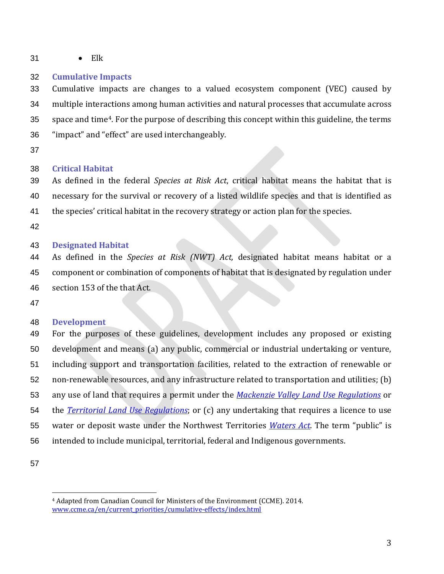• Elk

### **Cumulative Impacts**

 Cumulative impacts are changes to a valued ecosystem component (VEC) caused by multiple interactions among human activities and natural processes that accumulate across 35 space and time<sup>[4](#page-2-0)</sup>. For the purpose of describing this concept within this guideline, the terms "impact" and "effect" are used interchangeably.

### **Critical Habitat**

 As defined in the federal *Species at Risk Act*, critical habitat means the habitat that is necessary for the survival or recovery of a listed wildlife species and that is identified as 41 the species' critical habitat in the recovery strategy or action plan for the species.

### **Designated Habitat**

 As defined in the *Species at Risk (NWT) Act,* designated habitat means habitat or a component or combination of components of habitat that is designated by regulation under section 153 of the that Act.

#### **Development**

 For the purposes of these guidelines, development includes any proposed or existing development and means (a) any public, commercial or industrial undertaking or venture, including support and transportation facilities, related to the extraction of renewable or non-renewable resources, and any infrastructure related to transportation and utilities; (b) any use of land that requires a permit under the *[Mackenzie Valley Land Use Regulations](http://laws-lois.justice.gc.ca/eng/regulations/SOR-98-429/FullText.html)* or the *[Territorial Land Use Regulations](http://laws-lois.justice.gc.ca/eng/regulations/C.R.C.,_c._1524/)*; or (c) any undertaking that requires a licence to use water or deposit waste under the Northwest Territories *[Waters Act](http://laws-lois.justice.gc.ca/eng/acts/n-27.3/)*. The term "public" is intended to include municipal, territorial, federal and Indigenous governments.

<span id="page-2-0"></span>

 $\overline{a}$ 

 Adapted from Canadian Council for Ministers of the Environment (CCME). 2014. [www.ccme.ca/en/current\\_priorities/cumulative-effects/index.html](http://www.ccme.ca/en/current_priorities/cumulative-effects/index.html)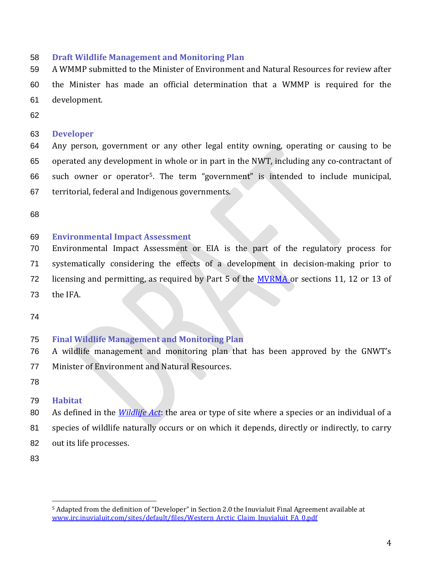## **Draft Wildlife Management and Monitoring Plan**

 A WMMP submitted to the Minister of Environment and Natural Resources for review after the Minister has made an official determination that a WMMP is required for the development.

# **Developer**

 Any person, government or any other legal entity owning, operating or causing to be operated any development in whole or in part in the NWT, including any co-contractant of 66 such owner or operator<sup>[5](#page-3-0)</sup>. The term "government" is intended to include municipal, territorial, federal and Indigenous governments.

# **Environmental Impact Assessment**

Environmental Impact Assessment or EIA is the part of the regulatory process for

systematically considering the effects of a development in decision-making prior to

72 licensing and permitting, as required by Part 5 of the [MVRMA o](http://laws-lois.justice.gc.ca/eng/acts/M-0.2/)r sections 11, 12 or 13 of

- the IFA.
- 

# **Final Wildlife Management and Monitoring Plan**

- A wildlife management and monitoring plan that has been approved by the GNWT's Minister of Environment and Natural Resources.
- 

# **Habitat**

- As defined in the *[Wildlife Act](https://www.justice.gov.nt.ca/en/files/legislation/wildlife/wildlife.a.pdf)*: the area or type of site where a species or an individual of a
- species of wildlife naturally occurs or on which it depends, directly or indirectly, to carry
- out its life processes.
- 

<span id="page-3-0"></span> $\overline{a}$  Adapted from the definition of "Developer" in Section 2.0 the Inuvialuit Final Agreement available at [www.irc.inuvialuit.com/sites/default/files/Western\\_Arctic\\_Claim\\_Inuvialuit\\_FA\\_0.pdf](http://www.irc.inuvialuit.com/sites/default/files/Western_Arctic_Claim_Inuvialuit_FA_0.pdf)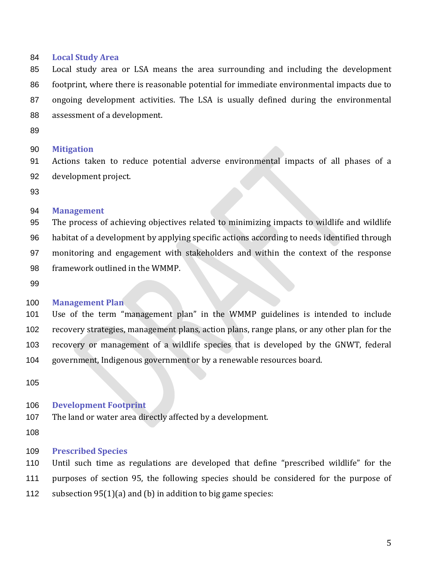### **Local Study Area**

 Local study area or LSA means the area surrounding and including the development footprint, where there is reasonable potential for immediate environmental impacts due to ongoing development activities. The LSA is usually defined during the environmental assessment of a development.

#### **Mitigation**

 Actions taken to reduce potential adverse environmental impacts of all phases of a development project.

#### **Management**

 The process of achieving objectives related to minimizing impacts to wildlife and wildlife habitat of a development by applying specific actions according to needs identified through monitoring and engagement with stakeholders and within the context of the response framework outlined in the WMMP.

### **Management Plan**

 Use of the term "management plan" in the WMMP guidelines is intended to include recovery strategies, management plans, action plans, range plans, or any other plan for the recovery or management of a wildlife species that is developed by the GNWT, federal government, Indigenous government or by a renewable resources board.

#### **Development Footprint**

The land or water area directly affected by a development.

#### **Prescribed Species**

Until such time as regulations are developed that define "prescribed wildlife" for the

purposes of section 95, the following species should be considered for the purpose of

subsection 95(1)(a) and (b) in addition to big game species: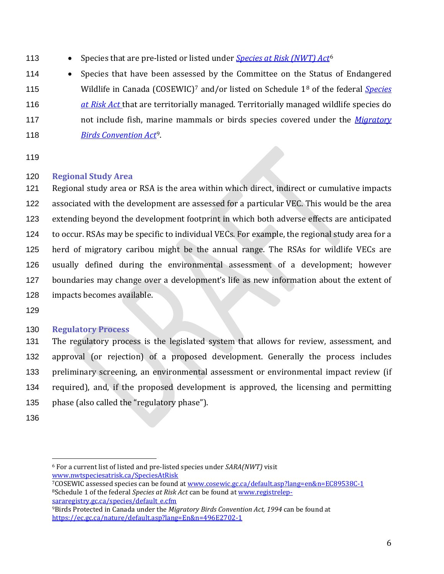- **•** Species that are pre-listed or listed under *[Species at Risk \(NWT\) Act](http://laws-lois.justice.gc.ca/eng/acts/s-15.3/)*<sup>[6](#page-5-0)</sup>
- 114 Species that have been as[se](#page-5-1)ssed by the Committee on the Status of Endangered 115 Wildlife in Canada (COSEWIC)<sup>7</sup> and/or listed on Schedule 1<sup>[8](#page-5-2)</sup> of the federal *Species [at Risk Act](http://laws-lois.justice.gc.ca/eng/acts/s-15.3/)* that are territorially managed. Territorially managed wildlife species do not include fish, m[ar](#page-5-3)ine mammals or birds species covered under the *[Migratory](http://laws-lois.justice.gc.ca/eng/acts/m-7.01/)*  118 **[Birds Convention Act](http://laws-lois.justice.gc.ca/eng/acts/m-7.01/)<sup>9</sup>**.
- 
- 

# **Regional Study Area**

 Regional study area or RSA is the area within which direct, indirect or cumulative impacts associated with the development are assessed for a particular VEC. This would be the area extending beyond the development footprint in which both adverse effects are anticipated to occur. RSAs may be specific to individual VECs. For example, the regional study area for a herd of migratory caribou might be the annual range. The RSAs for wildlife VECs are usually defined during the environmental assessment of a development; however boundaries may change over a development's life as new information about the extent of impacts becomes available.

# **Regulatory Process**

 The regulatory process is the legislated system that allows for review, assessment, and approval (or rejection) of a proposed development. Generally the process includes preliminary screening, an environmental assessment or environmental impact review (if required), and, if the proposed development is approved, the licensing and permitting phase (also called the "regulatory phase").

<span id="page-5-0"></span> $\overline{a}$  For a current list of listed and pre-listed species under *SARA(NWT)* visit [www.nwtspeciesatrisk.ca/SpeciesAtRisk](http://www.nwtspeciesatrisk.ca/SpeciesAtRisk)

<span id="page-5-2"></span><span id="page-5-1"></span><sup>7</sup>COSEWIC assessed species can be found at [www.cosewic.gc.ca/default.asp?lang=en&n=EC89538C-1](http://www.cosewic.gc.ca/default.asp?lang=en&n=EC89538C-1) 8Schedule 1 of the federal *Species at Risk Act* can be found a[t www.registrelep](http://www.registrelep-sararegistry.gc.ca/species/default_e.cfm)[sararegistry.gc.ca/species/default\\_e.cfm](http://www.registrelep-sararegistry.gc.ca/species/default_e.cfm)

<span id="page-5-3"></span><sup>9</sup>Birds Protected in Canada under the *Migratory Birds Convention Act, 1994* can be found at <https://ec.gc.ca/nature/default.asp?lang=En&n=496E2702-1>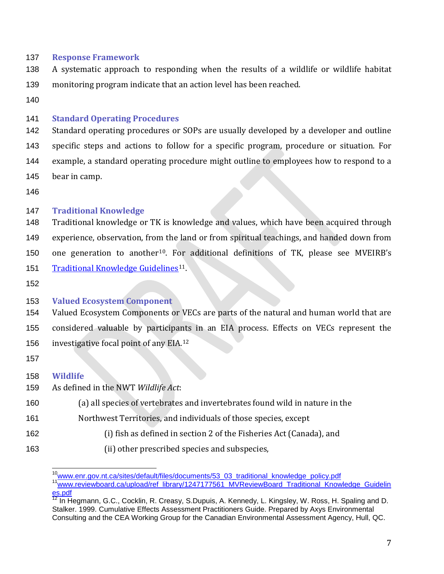### **Response Framework**

- A systematic approach to responding when the results of a wildlife or wildlife habitat monitoring program indicate that an action level has been reached.
- 

### **Standard Operating Procedures**

 Standard operating procedures or SOPs are usually developed by a developer and outline specific steps and actions to follow for a specific program, procedure or situation. For example, a standard operating procedure might outline to employees how to respond to a bear in camp.

# **Traditional Knowledge**

- Traditional knowledge or TK is knowledge and values, which have been acquired through experience, observation, from the land or from spiritual teachings, and handed down from 150 one generation to another<sup>[10](#page-6-0)</sup>. For additional definitions of TK, please see MVEIRB's [Traditional Knowledge Guidelines](http://www.reviewboard.ca/upload/ref_library/1247177561_MVReviewBoard_Traditional_Knowledge_Guidelines.pdf)<sup>[11](#page-6-1)</sup>
- 

# **Valued Ecosystem Component**

- Valued Ecosystem Components or VECs are parts of the natural and human world that are considered valuable by participa[nts](#page-6-2) in an EIA process. Effects on VECs represent the 156 investigative focal point of any EIA.
- 

### **Wildlife**

- As defined in the NWT *Wildlife Act*:
- (a) all species of vertebrates and invertebrates found wild in nature in the
- Northwest Territories, and individuals of those species, except
- (i) fish as defined in section 2 of the Fisheries Act (Canada), and
- <span id="page-6-1"></span><span id="page-6-0"></span>(ii) other prescribed species and subspecies,

<sup>&</sup>lt;sup>10</sup>www.enr.gov.nt.ca/sites/default/files/documents/53\_03\_traditional\_knowledge\_policy.pdf<br><sup>11</sup>www.reviewboard.ca/upload/ref\_library/1247177561\_MVReviewBoard\_Traditional\_Knowledge\_Guidelin <u>[es.pdf](http://www.reviewboard.ca/upload/ref_library/1247177561_MVReviewBoard_Traditional_Knowledge_Guidelines.pdf)</u>

<span id="page-6-2"></span> $^{12}$  In Hegmann, G.C., Cocklin, R. Creasy, S.Dupuis, A. Kennedy, L. Kingsley, W. Ross, H. Spaling and D. Stalker. 1999. Cumulative Effects Assessment Practitioners Guide. Prepared by Axys Environmental Consulting and the CEA Working Group for the Canadian Environmental Assessment Agency, Hull, QC.